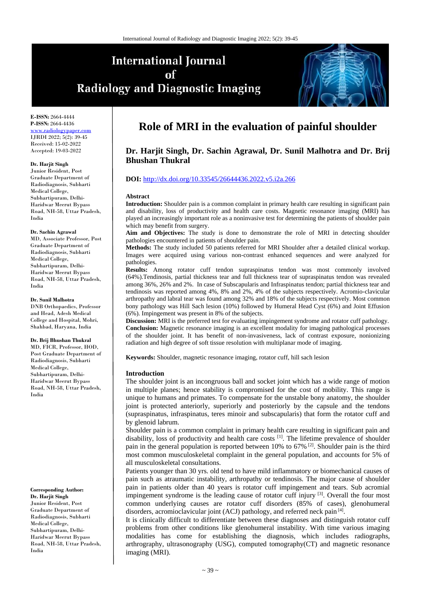# **International Journal** of **Radiology and Diagnostic Imaging**



**E-ISSN:** 2664-4444 **P-ISSN:** 2664-4436 ww.radiologypaper IJRDI 2022; 5(2): 39-45 Received: 15-02-2022 Accepted: 19-03-2022

#### **Dr. Harjit Singh**

Junior Resident, Post Graduate Department of Radiodiagnosis, Subharti Medical College, Subhartipuram, Delhi-Haridwar Meerut Bypass Road, NH-58, Uttar Pradesh, India

#### **Dr. Sachin Agrawal**

MD, Associate Professor, Post Graduate Department of Radiodiagnosis, Subharti Medical College, Subhartipuram, Delhi-Haridwar Meerut Bypass Road, NH-58, Uttar Pradesh, India

### **Dr. Sunil Malhotra**

DNB Orthopaedics, Professor and Head, Adesh Medical College and Hospital, Mohri, Shahbad, Haryana, India

#### **Dr. Brij Bhushan Thukral**

MD, FICR, Professor, HOD, Post Graduate Department of Radiodiagnosis, Subharti Medical College, Subhartipuram, Delhi-Haridwar Meerut Bypass Road, NH-58, Uttar Pradesh, India

#### **Corresponding Author: Dr. Harjit Singh**

Junior Resident, Post Graduate Department of Radiodiagnosis, Subharti Medical College, Subhartipuram, Delhi-Haridwar Meerut Bypass Road, NH-58, Uttar Pradesh, India

# **Role of MRI in the evaluation of painful shoulder**

# **Dr. Harjit Singh, Dr. Sachin Agrawal, Dr. Sunil Malhotra and Dr. Brij Bhushan Thukral**

# **DOI:** <http://dx.doi.org/10.33545/26644436.2022.v5.i2a.266>

#### **Abstract**

**Introduction:** Shoulder pain is a common complaint in primary health care resulting in significant pain and disability, loss of productivity and health care costs. Magnetic resonance imaging (MRI) has played an increasingly important role as a noninvasive test for determining the patients of shoulder pain which may benefit from surgery.

**Aim and Objectives:** The study is done to demonstrate the role of MRI in detecting shoulder pathologies encountered in patients of shoulder pain.

**Methods:** The study included 50 patients referred for MRI Shoulder after a detailed clinical workup. Images were acquired using various non-contrast enhanced sequences and were analyzed for pathologies.

**Results:** Among rotator cuff tendon supraspinatus tendon was most commonly involved (64%).Tendinosis, partial thickness tear and full thickness tear of supraspinatus tendon was revealed among 36%, 26% and 2%. In case of Subscapularis and Infraspinatus tendon; partial thickness tear and tendinosis was reported among 4%, 8% and 2%, 4% of the subjects respectively. Acromio-clavicular arthropathy and labral tear was found among 32% and 18% of the subjects respectively. Most common bony pathology was Hill Sach lesion (10%) followed by Humeral Head Cyst (6%) and Joint Effusion (6%). Impingement was present in 8% of the subjects.

**Discussion:** MRI is the preferred test for evaluating impingement syndrome and rotator cuff pathology. **Conclusion:** Magnetic resonance imaging is an excellent modality for imaging pathological processes of the shoulder joint. It has benefit of non-invasiveness, lack of contrast exposure, nonionizing radiation and high degree of soft tissue resolution with multiplanar mode of imaging.

**Keywords:** Shoulder, magnetic resonance imaging, rotator cuff, hill sach lesion

### **Introduction**

The shoulder joint is an incongruous ball and socket joint which has a wide range of motion in multiple planes; hence stability is compromised for the cost of mobility. This range is unique to humans and primates. To compensate for the unstable bony anatomy, the shoulder joint is protected anteriorly, superiorly and posteriorly by the capsule and the tendons (supraspinatus, infraspinatus, teres minoir and subscapularis) that form the rotator cuff and by glenoid labrum.

Shoulder pain is a common complaint in primary health care resulting in significant pain and disability, loss of productivity and health care costs  $^{[1]}$ . The lifetime prevalence of shoulder pain in the general population is reported between 10% to 67% <sup>[2]</sup>. Shoulder pain is the third most common musculoskeletal complaint in the general population, and accounts for 5% of all musculoskeletal consultations.

Patients younger than 30 yrs. old tend to have mild inflammatory or biomechanical causes of pain such as atraumatic instability, arthropathy or tendinosis. The major cause of shoulder pain in patients older than 40 years is rotator cuff impingement and tears. Sub acromial impingement syndrome is the leading cause of rotator cuff injury  $[3]$ . Overall the four most common underlying causes are rotator cuff disorders (85% of cases), glenohumeral disorders, acromioclavicular joint (ACJ) pathology, and referred neck pain [4].

It is clinically difficult to differentiate between these diagnoses and distinguish rotator cuff problems from other conditions like glenohumeral instability. With time various imaging modalities has come for establishing the diagnosis, which includes radiographs, arthrography, ultrasonography (USG), computed tomography(CT) and magnetic resonance imaging (MRI).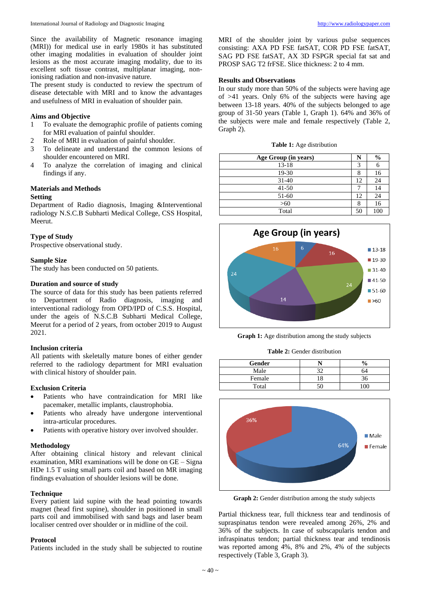Since the availability of Magnetic resonance imaging (MRI)) for medical use in early 1980s it has substituted other imaging modalities in evaluation of shoulder joint lesions as the most accurate imaging modality, due to its excellent soft tissue contrast, multiplanar imaging, nonionising radiation and non-invasive nature.

The present study is conducted to review the spectrum of disease detectable with MRI and to know the advantages and usefulness of MRI in evaluation of shoulder pain.

# **Aims and Objective**

- 1 To evaluate the demographic profile of patients coming for MRI evaluation of painful shoulder.
- 2 Role of MRI in evaluation of painful shoulder.
- 3 To delineate and understand the common lesions of shoulder encountered on MRI.
- 4 To analyze the correlation of imaging and clinical findings if any.

# **Materials and Methods**

# **Setting**

Department of Radio diagnosis, Imaging &Interventional radiology N.S.C.B Subharti Medical College, CSS Hospital, Meerut.

# **Type of Study**

Prospective observational study.

# **Sample Size**

The study has been conducted on 50 patients.

# **Duration and source of study**

The source of data for this study has been patients referred to Department of Radio diagnosis, imaging and interventional radiology from OPD/IPD of C.S.S. Hospital, under the ageis of N.S.C.B Subharti Medical College, Meerut for a period of 2 years, from october 2019 to August 2021.

# **Inclusion criteria**

All patients with skeletally mature bones of either gender referred to the radiology department for MRI evaluation with clinical history of shoulder pain.

# **Exclusion Criteria**

- Patients who have contraindication for MRI like pacemaker, metallic implants, claustrophobia.
- Patients who already have undergone interventional intra-articular procedures.
- Patients with operative history over involved shoulder.

# **Methodology**

After obtaining clinical history and relevant clinical examination, MRI examinations will be done on GE – Signa HDe 1.5 T using small parts coil and based on MR imaging findings evaluation of shoulder lesions will be done.

# **Technique**

Every patient laid supine with the head pointing towards magnet (head first supine), shoulder in positioned in small parts coil and immobilised with sand bags and laser beam localiser centred over shoulder or in midline of the coil.

# **Protocol**

Patients included in the study shall be subjected to routine

MRI of the shoulder joint by various pulse sequences consisting: AXA PD FSE fatSAT, COR PD FSE fatSAT, SAG PD FSE fatSAT, AX 3D FSPGR special fat sat and PROSP SAG T2 frFSE. Slice thickness: 2 to 4 mm.

# **Results and Observations**

In our study more than 50% of the subjects were having age of >41 years. Only 6% of the subjects were having age between 13-18 years. 40% of the subjects belonged to age group of 31-50 years (Table 1, Graph 1). 64% and 36% of the subjects were male and female respectively (Table 2, Graph 2).

| Age Group (in years) |    | $\frac{6}{9}$ |
|----------------------|----|---------------|
| $13 - 18$            | 3  |               |
| 19-30                |    | 16            |
| $31 - 40$            | 12 | 24            |
| $41 - 50$            |    | 14            |
| 51-60                | 12 | 24            |
| $>60$                |    | 16            |
| Total                | 50 | 100           |



**Graph 1:** Age distribution among the study subjects

**Table 2:** Gender distribution

| Gender |    | ∕0 |
|--------|----|----|
| Male   | າາ | 74 |
| Female |    |    |
| Total  |    | V  |



**Graph 2:** Gender distribution among the study subjects

Partial thickness tear, full thickness tear and tendinosis of supraspinatus tendon were revealed among 26%, 2% and 36% of the subjects. In case of subscapularis tendon and infraspinatus tendon; partial thickness tear and tendinosis was reported among 4%, 8% and 2%, 4% of the subjects respectively (Table 3, Graph 3).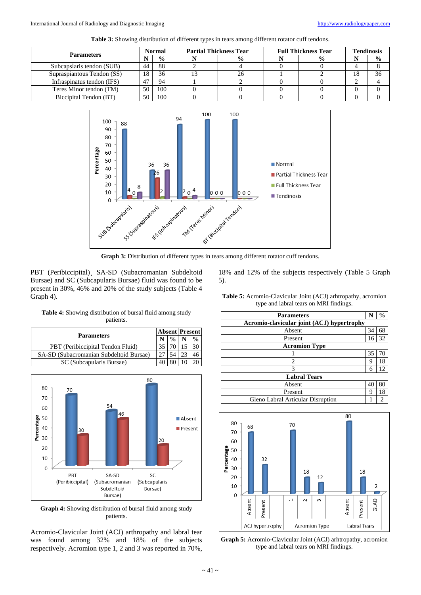| Table 3: Showing distribution of different types in tears among different rotator cuff tendons. |  |  |
|-------------------------------------------------------------------------------------------------|--|--|
|-------------------------------------------------------------------------------------------------|--|--|

| <b>Parameters</b>          | <b>Normal</b> |               | <b>Partial Thickness Tear</b> |               | <b>Full Thickness Tear</b> |               | <b>Tendinosis</b> |               |
|----------------------------|---------------|---------------|-------------------------------|---------------|----------------------------|---------------|-------------------|---------------|
|                            |               | $\frac{0}{0}$ |                               | $\frac{0}{0}$ |                            | $\frac{0}{0}$ |                   | $\frac{0}{0}$ |
| Subcapslaris tendon (SUB)  | 44            | 88            |                               |               |                            |               |                   |               |
| Supraspiantous Tendon (SS) | 18            | 36            |                               |               |                            |               | 18                | 36            |
| Infraspinatus tendon (IFS) | 47            | 94            |                               |               |                            |               |                   |               |
| Teres Minor tendon (TM)    | 50            | 100           |                               |               |                            |               |                   |               |
| Biccipital Tendon (BT)     | 50            | 100           |                               |               |                            |               |                   |               |



PBT (Peribiccipital), SA-SD (Subacromanian Subdeltoid Bursae) and SC (Subcapularis Bursae) fluid was found to be present in 30%, 46% and 20% of the study subjects (Table 4 Graph 4).

**Table 4:** Showing distribution of bursal fluid among study patients.

|                                         |  |              |  | <b>Absent Present</b> |  |
|-----------------------------------------|--|--------------|--|-----------------------|--|
| <b>Parameters</b>                       |  | $\mathbf{0}$ |  |                       |  |
| PBT (Peribiccipital Tendon Fluid)       |  |              |  |                       |  |
| SA-SD (Subacromanian Subdeltoid Bursae) |  |              |  |                       |  |
| SC (Subcapularis Bursae)                |  |              |  |                       |  |



**Graph 4:** Showing distribution of bursal fluid among study patients.

Acromio-Clavicular Joint (ACJ) arthropathy and labral tear was found among 32% and 18% of the subjects respectively. Acromion type 1, 2 and 3 was reported in 70%,

18% and 12% of the subjects respectively (Table 5 Graph 5).

**Table 5:** Acromio-Clavicular Joint (ACJ) arhtropathy, acromion

| type and labral tears on MRI findings.     |    |    |  |  |  |
|--------------------------------------------|----|----|--|--|--|
| <b>Parameters</b>                          |    | %  |  |  |  |
| Acromio-clavicular joint (ACJ) hypertrophy |    |    |  |  |  |
| Absent                                     | 34 | 68 |  |  |  |
| Present                                    | 16 | 32 |  |  |  |
| <b>Acromion Type</b>                       |    |    |  |  |  |
|                                            | 35 |    |  |  |  |
| 2                                          | 9  | 18 |  |  |  |
| 3                                          | 6  | 12 |  |  |  |
| <b>Labral Tears</b>                        |    |    |  |  |  |
| Absent                                     | 40 | 80 |  |  |  |
| Present                                    | 9  | 18 |  |  |  |
| Gleno Labral Articular Disruption          |    |    |  |  |  |



**Graph 5:** Acromio-Clavicular Joint (ACJ) arhtropathy, acromion type and labral tears on MRI findings.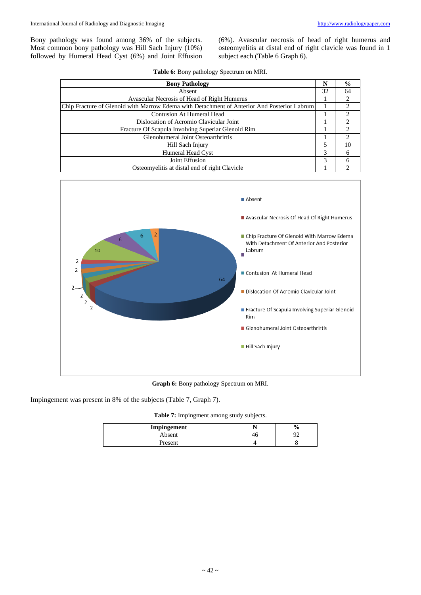Bony pathology was found among 36% of the subjects. Most common bony pathology was Hill Sach Injury (10%) followed by Humeral Head Cyst (6%) and Joint Effusion (6%). Avascular necrosis of head of right humerus and osteomyelitis at distal end of right clavicle was found in 1 subject each (Table 6 Graph 6).

| <b>Bony Pathology</b>                                                                       | N  | $\frac{6}{9}$  |
|---------------------------------------------------------------------------------------------|----|----------------|
| Absent                                                                                      | 32 | 64             |
| Avascular Necrosis of Head of Right Humerus                                                 |    | 2              |
| Chip Fracture of Glenoid with Marrow Edema with Detachment of Anterior And Posterior Labrum |    | 2              |
| Contusion At Humeral Head                                                                   |    | $\mathfrak{D}$ |
| Dislocation of Acromio Clavicular Joint                                                     |    | $\mathfrak{D}$ |
| Fracture Of Scapula Involving Superiar Glenoid Rim                                          |    | 2              |
| Glenohumeral Joint Osteoarthrirtis                                                          |    | 2              |
| Hill Sach Injury                                                                            | 5  | 10             |
| Humeral Head Cyst                                                                           | 3  | 6              |
| Joint Effusion                                                                              | 3  | 6              |
| Osteomyelitis at distal end of right Clavicle                                               |    |                |



**Graph 6:** Bony pathology Spectrum on MRI.

Impingement was present in 8% of the subjects (Table 7, Graph 7).

**Table 7:** Impingment among study subjects.

| Impingement   | v |
|---------------|---|
| Absent        |   |
| <b>resent</b> | u |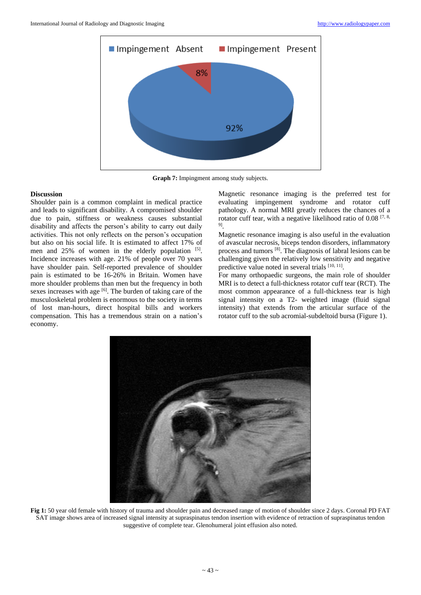

**Graph 7:** Impingment among study subjects.

## **Discussion**

Shoulder pain is a common complaint in medical practice and leads to significant disability. A compromised shoulder due to pain, stiffness or weakness causes substantial disability and affects the person's ability to carry out daily activities. This not only reflects on the person's occupation but also on his social life. It is estimated to affect 17% of men and  $25\%$  of women in the elderly population  $[5]$ . Incidence increases with age. 21% of people over 70 years have shoulder pain. Self-reported prevalence of shoulder pain is estimated to be 16-26% in Britain. Women have more shoulder problems than men but the frequency in both sexes increases with age  $[6]$ . The burden of taking care of the musculoskeletal problem is enormous to the society in terms of lost man-hours, direct hospital bills and workers compensation. This has a tremendous strain on a nation's economy.

Magnetic resonance imaging is the preferred test for evaluating impingement syndrome and rotator cuff pathology. A normal MRI greatly reduces the chances of a rotator cuff tear, with a negative likelihood ratio of  $0.08$  [7, 8,] 9] .

Magnetic resonance imaging is also useful in the evaluation of avascular necrosis, biceps tendon disorders, inflammatory process and tumors [8]. The diagnosis of labral lesions can be challenging given the relatively low sensitivity and negative predictive value noted in several trials [10, 11].

For many orthopaedic surgeons, the main role of shoulder MRI is to detect a full-thickness rotator cuff tear (RCT). The most common appearance of a full-thickness tear is high signal intensity on a T2- weighted image (fluid signal intensity) that extends from the articular surface of the rotator cuff to the sub acromial-subdeltoid bursa (Figure 1).



**Fig 1:** 50 year old female with history of trauma and shoulder pain and decreased range of motion of shoulder since 2 days. Coronal PD FAT SAT image shows area of increased signal intensity at supraspinatus tendon insertion with evidence of retraction of supraspinatus tendon suggestive of complete tear. Glenohumeral joint effusion also noted.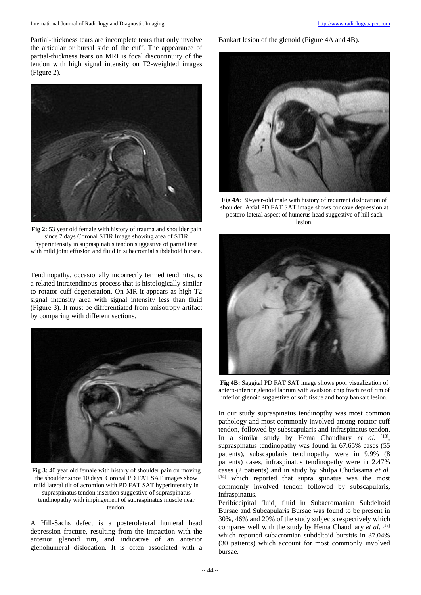Partial-thickness tears are incomplete tears that only involve the articular or bursal side of the cuff. The appearance of partial-thickness tears on MRI is focal discontinuity of the tendon with high signal intensity on T2-weighted images (Figure 2).



**Fig 2:** 53 year old female with history of trauma and shoulder pain since 7 days Coronal STIR Image showing area of STIR hyperintensity in supraspinatus tendon suggestive of partial tear with mild joint effusion and fluid in subacromial subdeltoid bursae.

Tendinopathy, occasionally incorrectly termed tendinitis, is a related intratendinous process that is histologically similar to rotator cuff degeneration. On MR it appears as high T2 signal intensity area with signal intensity less than fluid (Figure 3). It must be differentiated from anisotropy artifact by comparing with different sections.



**Fig 3:** 40 year old female with history of shoulder pain on moving the shoulder since 10 days. Coronal PD FAT SAT images show mild lateral tilt of acromion with PD FAT SAT hyperintensity in supraspinatus tendon insertion suggestive of supraspinatus tendinopathy with impingement of supraspinatus muscle near tendon.

A Hill-Sachs defect is a posterolateral humeral head depression fracture, resulting from the impaction with the anterior glenoid rim, and indicative of an anterior glenohumeral dislocation. It is often associated with a

Bankart lesion of the glenoid (Figure 4A and 4B).



**Fig 4A:** 30-year-old male with history of recurrent dislocation of shoulder. Axial PD FAT SAT image shows concave depression at postero-lateral aspect of humerus head suggestive of hill sach lesion.



**Fig 4B:** Saggital PD FAT SAT image shows poor visualization of antero-inferior glenoid labrum with avulsion chip fracture of rim of inferior glenoid suggestive of soft tissue and bony bankart lesion.

In our study supraspinatus tendinopthy was most common pathology and most commonly involved among rotator cuff tendon, followed by subscapularis and infraspinatus tendon. In a similar study by Hema Chaudhary et al. [13], supraspinatus tendinopathy was found in 67.65% cases (55 patients), subscapularis tendinopathy were in 9.9% (8 patients) cases, infraspinatus tendinopathy were in 2.47% cases (2 patients) and in study by Shilpa Chudasama *et al.* [14] which reported that supra spinatus was the most commonly involved tendon followed by subscapularis, infraspinatus.

Peribiccipital fluid¸ fluid in Subacromanian Subdeltoid Bursae and Subcapularis Bursae was found to be present in 30%, 46% and 20% of the study subjects respectively which compares well with the study by Hema Chaudhary *et al*. [13] which reported subacromian subdeltoid bursitis in 37.04% (30 patients) which account for most commonly involved bursae.